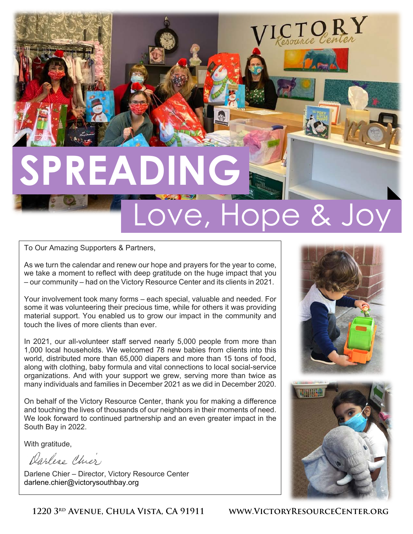# **SPREADING**

## Love, Hope &

To Our Amazing Supporters & Partners,

As we turn the calendar and renew our hope and prayers for the year to come, we take a moment to reflect with deep gratitude on the huge impact that you – our community – had on the Victory Resource Center and its clients in 2021.

Your involvement took many forms – each special, valuable and needed. For some it was volunteering their precious time, while for others it was providing material support. You enabled us to grow our impact in the community and touch the lives of more clients than ever.

In 2021, our all-volunteer staff served nearly 5,000 people from more than 1,000 local households. We welcomed 78 new babies from clients into this world, distributed more than 65,000 diapers and more than 15 tons of food, along with clothing, baby formula and vital connections to local social-service organizations. And with your support we grew, serving more than twice as many individuals and families in December 2021 as we did in December 2020.

On behalf of the Victory Resource Center, thank you for making a difference and touching the lives of thousands of our neighbors in their moments of need. We look forward to continued partnership and an even greater impact in the South Bay in 2022.

With gratitude,

Darlese Chier

Darlene Chier – Director, Victory Resource Center darlene.chier@victorysouthbay.org